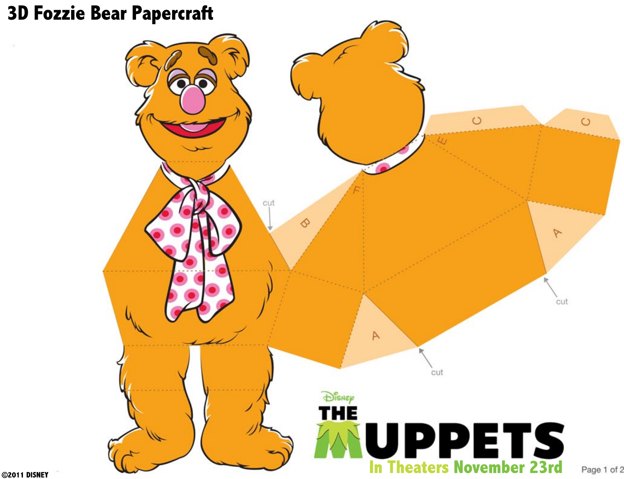## **3D Fozzie Bear Papercraft**



©2011 DISNEY

 $\sim$